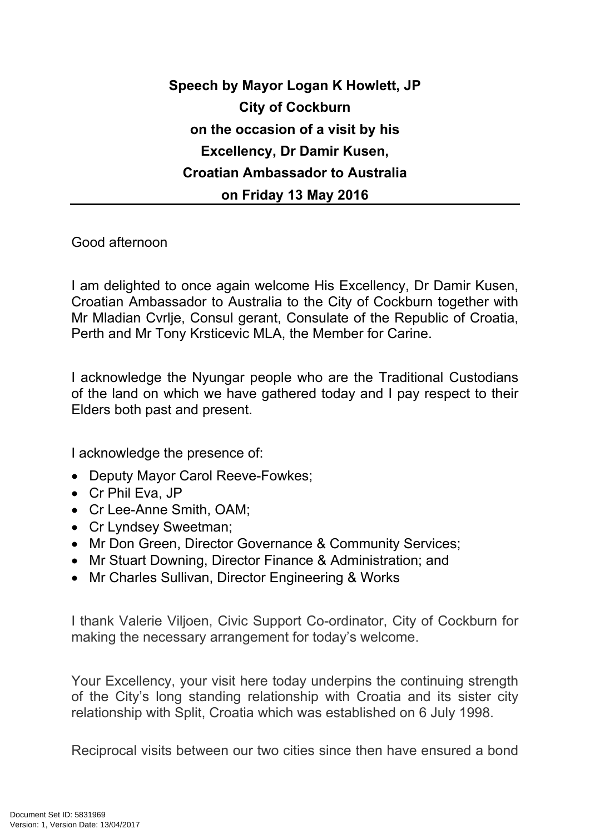## **Speech by Mayor Logan K Howlett, JP City of Cockburn on the occasion of a visit by his Excellency, Dr Damir Kusen, Croatian Ambassador to Australia on Friday 13 May 2016**

Good afternoon

I am delighted to once again welcome His Excellency, Dr Damir Kusen, Croatian Ambassador to Australia to the City of Cockburn together with Mr Mladian Cvrlje, Consul gerant, Consulate of the Republic of Croatia, Perth and Mr Tony Krsticevic MLA, the Member for Carine.

I acknowledge the Nyungar people who are the Traditional Custodians of the land on which we have gathered today and I pay respect to their Elders both past and present.

I acknowledge the presence of:

- Deputy Mayor Carol Reeve-Fowkes;
- Cr Phil Eva, JP
- Cr Lee-Anne Smith, OAM;
- Cr Lyndsey Sweetman;
- Mr Don Green, Director Governance & Community Services;
- Mr Stuart Downing, Director Finance & Administration; and
- Mr Charles Sullivan, Director Engineering & Works

I thank Valerie Viljoen, Civic Support Co-ordinator, City of Cockburn for making the necessary arrangement for today's welcome.

Your Excellency, your visit here today underpins the continuing strength of the City's long standing relationship with Croatia and its sister city relationship with Split, Croatia which was established on 6 July 1998.

Reciprocal visits between our two cities since then have ensured a bond